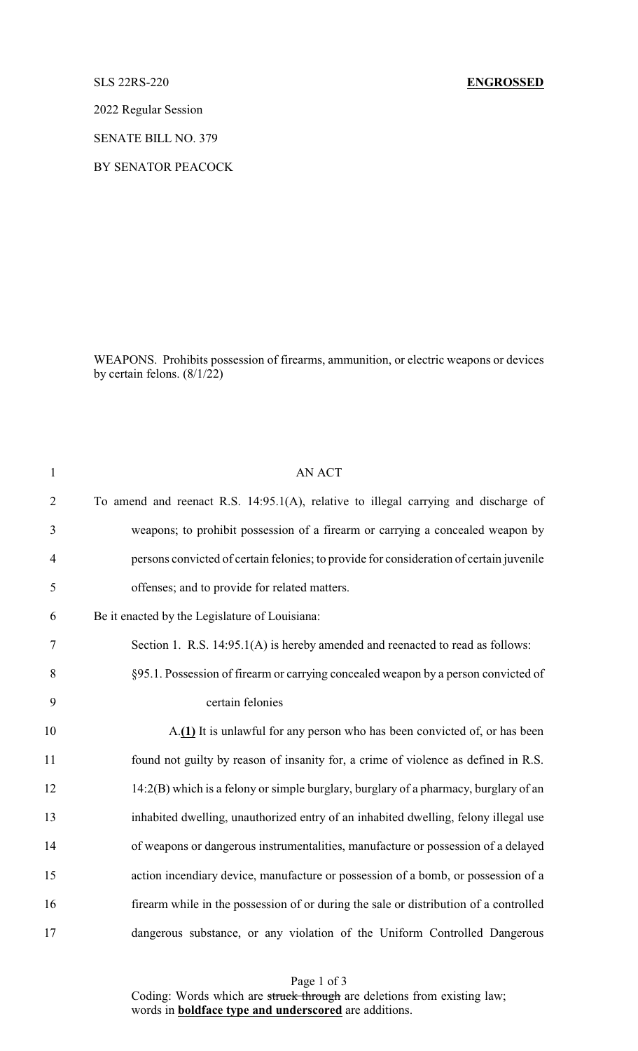## SLS 22RS-220 **ENGROSSED**

2022 Regular Session

SENATE BILL NO. 379

BY SENATOR PEACOCK

WEAPONS. Prohibits possession of firearms, ammunition, or electric weapons or devices by certain felons.  $(8/1/22)$ 

| $\mathbf{1}$   | <b>AN ACT</b>                                                                           |
|----------------|-----------------------------------------------------------------------------------------|
| $\overline{2}$ | To amend and reenact R.S. 14:95.1(A), relative to illegal carrying and discharge of     |
| 3              | weapons; to prohibit possession of a firearm or carrying a concealed weapon by          |
| $\overline{4}$ | persons convicted of certain felonies; to provide for consideration of certain juvenile |
| 5              | offenses; and to provide for related matters.                                           |
| 6              | Be it enacted by the Legislature of Louisiana:                                          |
| 7              | Section 1. R.S. 14:95.1(A) is hereby amended and reenacted to read as follows:          |
| 8              | §95.1. Possession of firearm or carrying concealed weapon by a person convicted of      |
| 9              | certain felonies                                                                        |
| 10             | A.(1) It is unlawful for any person who has been convicted of, or has been              |
| 11             | found not guilty by reason of insanity for, a crime of violence as defined in R.S.      |
| 12             | 14:2(B) which is a felony or simple burglary, burglary of a pharmacy, burglary of an    |
| 13             | inhabited dwelling, unauthorized entry of an inhabited dwelling, felony illegal use     |
| 14             | of weapons or dangerous instrumentalities, manufacture or possession of a delayed       |
| 15             | action incendiary device, manufacture or possession of a bomb, or possession of a       |
| 16             | firearm while in the possession of or during the sale or distribution of a controlled   |
| 17             | dangerous substance, or any violation of the Uniform Controlled Dangerous               |

Page 1 of 3 Coding: Words which are struck through are deletions from existing law; words in **boldface type and underscored** are additions.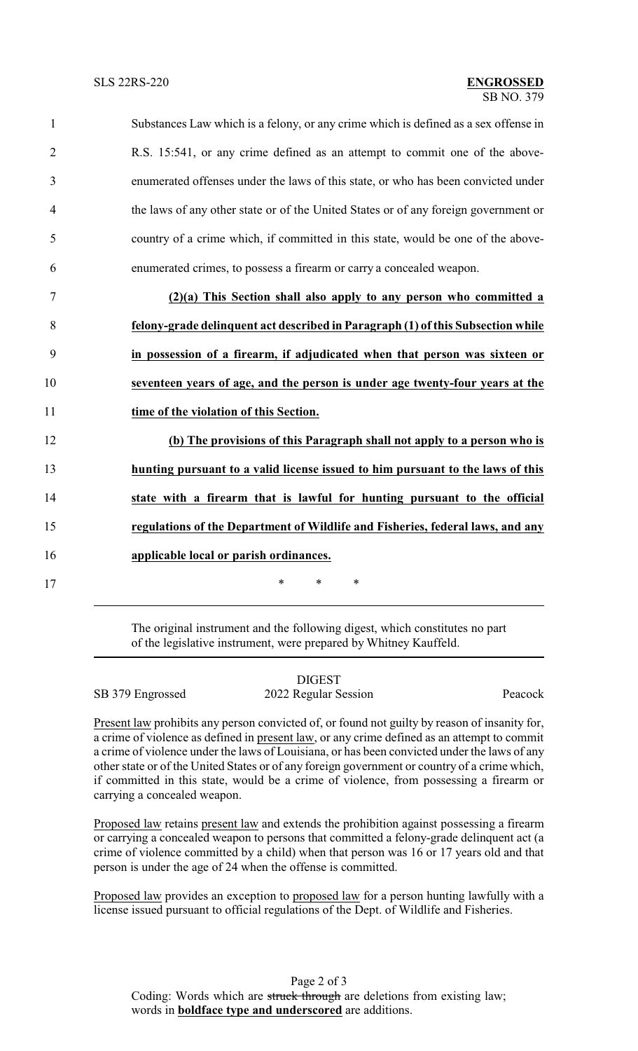| $\mathbf{1}$   | Substances Law which is a felony, or any crime which is defined as a sex offense in |
|----------------|-------------------------------------------------------------------------------------|
| $\overline{2}$ | R.S. 15:541, or any crime defined as an attempt to commit one of the above-         |
| $\overline{3}$ | enumerated offenses under the laws of this state, or who has been convicted under   |
| $\overline{4}$ | the laws of any other state or of the United States or of any foreign government or |
| 5              | country of a crime which, if committed in this state, would be one of the above-    |
| 6              | enumerated crimes, to possess a firearm or carry a concealed weapon.                |
| 7              | $(2)(a)$ This Section shall also apply to any person who committed a                |
| 8              | felony-grade delinquent act described in Paragraph (1) of this Subsection while     |
| 9              | in possession of a firearm, if adjudicated when that person was sixteen or          |
| 10             | seventeen years of age, and the person is under age twenty-four years at the        |

11 **time of the violation of this Section.**

 **(b) The provisions of this Paragraph shall not apply to a person who is hunting pursuant to a valid license issued to him pursuant to the laws of this state with a firearm that is lawful for hunting pursuant to the official regulations of the Department of Wildlife and Fisheries, federal laws, and any applicable local or parish ordinances.** 17 \* \* \* \*

> The original instrument and the following digest, which constitutes no part of the legislative instrument, were prepared by Whitney Kauffeld.

|                  | <b>DIGEST</b>        |         |
|------------------|----------------------|---------|
| SB 379 Engrossed | 2022 Regular Session | Peacock |

Present law prohibits any person convicted of, or found not guilty by reason of insanity for, a crime of violence as defined in present law, or any crime defined as an attempt to commit a crime of violence under the laws of Louisiana, or has been convicted under the laws of any other state or of the United States or of any foreign government or country of a crime which, if committed in this state, would be a crime of violence, from possessing a firearm or carrying a concealed weapon.

Proposed law retains present law and extends the prohibition against possessing a firearm or carrying a concealed weapon to persons that committed a felony-grade delinquent act (a crime of violence committed by a child) when that person was 16 or 17 years old and that person is under the age of 24 when the offense is committed.

Proposed law provides an exception to proposed law for a person hunting lawfully with a license issued pursuant to official regulations of the Dept. of Wildlife and Fisheries.